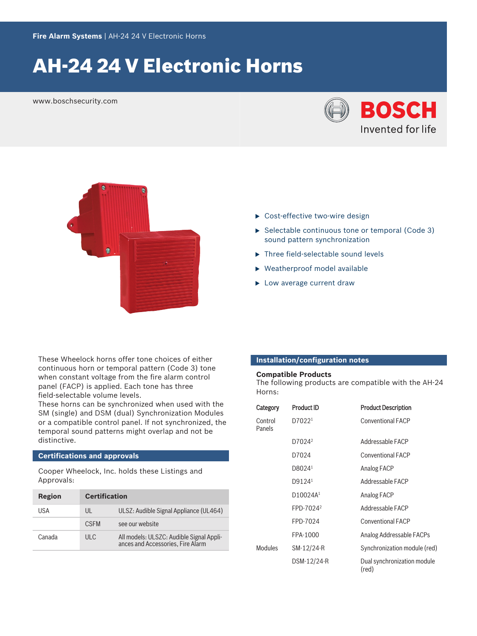# AH‑24 24 V Electronic Horns

www.boschsecurity.com





- ▶ Cost-effective two-wire design
- $\triangleright$  Selectable continuous tone or temporal (Code 3) sound pattern synchronization
- $\blacktriangleright$  Three field-selectable sound levels
- $\blacktriangleright$  Weatherproof model available
- $\blacktriangleright$  Low average current draw

These Wheelock horns offer tone choices of either continuous horn or temporal pattern (Code 3) tone when constant voltage from the fire alarm control panel (FACP) is applied. Each tone has three field‑selectable volume levels.

These horns can be synchronized when used with the SM (single) and DSM (dual) Synchronization Modules or a compatible control panel. If not synchronized, the temporal sound patterns might overlap and not be distinctive.

# **Certifications and approvals**

Cooper Wheelock, Inc. holds these Listings and Approvals:

| Region | <b>Certification</b> |                                                                               |
|--------|----------------------|-------------------------------------------------------------------------------|
| USA    | UL                   | ULSZ: Audible Signal Appliance (UL464)                                        |
|        | <b>CSEM</b>          | see our website                                                               |
| Canada | ULC                  | All models: ULSZC: Audible Signal Appli-<br>ances and Accessories. Fire Alarm |

# **Installation/configuration notes**

# **Compatible Products**

The following products are compatible with the AH-24 Horns:

| Category          | Product ID            | <b>Product Description</b>           |
|-------------------|-----------------------|--------------------------------------|
| Control<br>Panels | D7022 <sup>1</sup>    | <b>Conventional FACP</b>             |
|                   | D7024 <sup>2</sup>    | Addressable FACP                     |
|                   | D7024                 | <b>Conventional FACP</b>             |
|                   | D8024 <sup>1</sup>    | Analog FACP                          |
|                   | D9124 <sup>1</sup>    | Addressable FACP                     |
|                   | D10024A <sup>1</sup>  | Analog FACP                          |
|                   | FPD-7024 <sup>2</sup> | Addressable FACP                     |
|                   | FPD-7024              | <b>Conventional FACP</b>             |
|                   | FPA-1000              | Analog Addressable FACPs             |
| <b>Modules</b>    | SM-12/24-R            | Synchronization module (red)         |
|                   | DSM-12/24-R           | Dual synchronization module<br>(red) |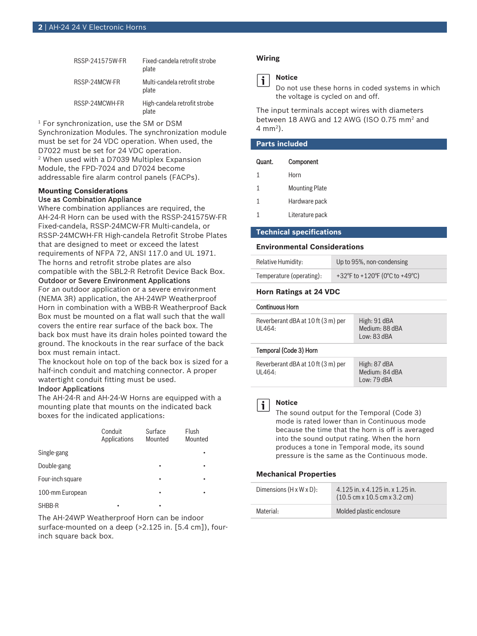| RSSP-241575W-FR | Fixed-candela retrofit strobe<br>plate |
|-----------------|----------------------------------------|
| RSSP-24MCW-FR   | Multi-candela retrofit strobe<br>plate |
| RSSP-24MCWH-FR  | High-candela retrofit strobe<br>plate  |

1 For synchronization, use the SM or DSM Synchronization Modules. The synchronization module must be set for 24 VDC operation. When used, the D7022 must be set for 24 VDC operation. 2 When used with a D7039 Multiplex Expansion Module, the FPD-7024 and D7024 become addressable fire alarm control panels (FACPs).

# **Mounting Considerations** Use as Combination Appliance

Where combination appliances are required, the AH-24-R Horn can be used with the RSSP-241575W-FR Fixed‑candela, RSSP‑24MCW‑FR Multi‑candela, or RSSP‑24MCWH‑FR High‑candela Retrofit Strobe Plates that are designed to meet or exceed the latest requirements of NFPA 72, ANSI 117.0 and UL 1971. The horns and retrofit strobe plates are also compatible with the SBL2‑R Retrofit Device Back Box.

# Outdoor or Severe Environment Applications

For an outdoor application or a severe environment (NEMA 3R) application, the AH‑24WP Weatherproof Horn in combination with a WBB‑R Weatherproof Back Box must be mounted on a flat wall such that the wall covers the entire rear surface of the back box. The back box must have its drain holes pointed toward the ground. The knockouts in the rear surface of the back box must remain intact.

The knockout hole on top of the back box is sized for a half-inch conduit and matching connector. A proper watertight conduit fitting must be used.

# Indoor Applications

The AH‑24‑R and AH‑24‑W Horns are equipped with a mounting plate that mounts on the indicated back boxes for the indicated applications:

|                  | Conduit<br>Applications | Surface<br>Mounted | Flush<br>Mounted |
|------------------|-------------------------|--------------------|------------------|
| Single-gang      |                         |                    |                  |
| Double-gang      |                         | ٠                  | ٠                |
| Four-inch square |                         | ٠                  | ٠                |
| 100-mm European  |                         | ٠                  |                  |
| SHBB-R           |                         | ٠                  |                  |

The AH‑24WP Weatherproof Horn can be indoor surface-mounted on a deep (>2.125 in. [5.4 cm]), fourinch square back box.

# **Wiring**



# **Notice**

Do not use these horns in coded systems in which the voltage is cycled on and off.

The input terminals accept wires with diameters between 18 AWG and 12 AWG (ISO 0.75 mm<sup>2</sup> and 4 mm<sup>2</sup> ).

| <b>Parts included</b> |                       |  |
|-----------------------|-----------------------|--|
| Quant.                | Component             |  |
| 1                     | Horn                  |  |
| 1                     | <b>Mounting Plate</b> |  |
| 1                     | Hardware pack         |  |
|                       | Literature pack       |  |
|                       |                       |  |

#### **Technical specifications**

#### **Environmental Considerations**

| Relative Humidity:       | Up to 95%, non-condensing      |
|--------------------------|--------------------------------|
| Temperature (operating): | +32°F to +120°F (0°C to +49°C) |

### **Horn Ratings at 24 VDC**

#### Continuous Horn

| Reverberant dBA at 10 ft (3 m) per<br>UL464: | High: 91 dBA<br>Medium: 88 dBA<br>Low: 83 dBA |
|----------------------------------------------|-----------------------------------------------|
|                                              |                                               |

### Temporal (Code 3) Horn

| Reverberant dBA at 10 ft (3 m) per | High: 87 dBA   |
|------------------------------------|----------------|
| UL464:                             | Medium: 84 dBA |
|                                    | Low: 79 dBA    |

#### **Notice**

i

The sound output for the Temporal (Code 3) mode is rated lower than in Continuous mode because the time that the horn is off is averaged into the sound output rating. When the horn produces a tone in Temporal mode, its sound pressure is the same as the Continuous mode.

### **Mechanical Properties**

| Dimensions $(H \times W \times D)$ : | $4.125$ in. x $4.125$ in. x $1.25$ in.<br>$(10.5 \text{ cm} \times 10.5 \text{ cm} \times 3.2 \text{ cm})$ |
|--------------------------------------|------------------------------------------------------------------------------------------------------------|
| Material:                            | Molded plastic enclosure                                                                                   |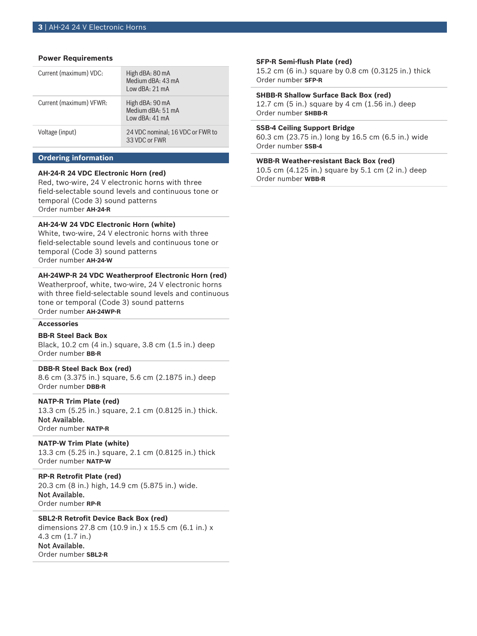### **Power Requirements**

| Current (maximum) VDC:  | High dBA: 80 mA<br>Medium dBA: 43 mA<br>Low dBA: 21 mA |
|-------------------------|--------------------------------------------------------|
| Current (maximum) VFWR: | High dBA: 90 mA<br>Medium dBA: 51 mA<br>Iow dBA: 41 mA |
| Voltage (input)         | 24 VDC nominal; 16 VDC or FWR to<br>33 VDC or FWR      |

# **Ordering information**

### **AH‑24‑R 24 VDC Electronic Horn (red)**

Red, two‑wire, 24 V electronic horns with three field‑selectable sound levels and continuous tone or temporal (Code 3) sound patterns Order number **AH-24-R**

# **AH‑24‑W 24 VDC Electronic Horn (white)**

White, two-wire, 24 V electronic horns with three field‑selectable sound levels and continuous tone or temporal (Code 3) sound patterns Order number **AH-24-W**

#### **AH‑24WP‑R 24 VDC Weatherproof Electronic Horn (red)**

Weatherproof, white, two-wire, 24 V electronic horns with three field‑selectable sound levels and continuous tone or temporal (Code 3) sound patterns Order number **AH-24WP-R**

# **Accessories**

# **BB‑R Steel Back Box**

Black, 10.2 cm (4 in.) square, 3.8 cm (1.5 in.) deep Order number **BB-R**

# **DBB‑R Steel Back Box (red)**

8.6 cm (3.375 in.) square, 5.6 cm (2.1875 in.) deep Order number **DBB-R**

#### **NATP‑R Trim Plate (red)**

13.3 cm (5.25 in.) square, 2.1 cm (0.8125 in.) thick. Not Available. Order number **NATP-R**

# **NATP-W Trim Plate (white)**

13.3 cm (5.25 in.) square, 2.1 cm (0.8125 in.) thick Order number **NATP-W**

#### **RP‑R Retrofit Plate (red)**

20.3 cm (8 in.) high, 14.9 cm (5.875 in.) wide. Not Available. Order number **RP-R**

# **SBL2‑R Retrofit Device Back Box (red)**

dimensions 27.8 cm (10.9 in.) x 15.5 cm (6.1 in.) x 4.3 cm (1.7 in.) Not Available. Order number **SBL2-R**

### **SFP‑R Semi‑flush Plate (red)**

15.2 cm (6 in.) square by 0.8 cm (0.3125 in.) thick Order number **SFP-R**

### **SHBB‑R Shallow Surface Back Box (red)**

12.7 cm (5 in.) square by 4 cm (1.56 in.) deep Order number **SHBB-R**

#### **SSB‑4 Ceiling Support Bridge**

60.3 cm (23.75 in.) long by 16.5 cm (6.5 in.) wide Order number **SSB-4**

# **WBB‑R Weather‑resistant Back Box (red)**

10.5 cm (4.125 in.) square by 5.1 cm (2 in.) deep Order number **WBB-R**